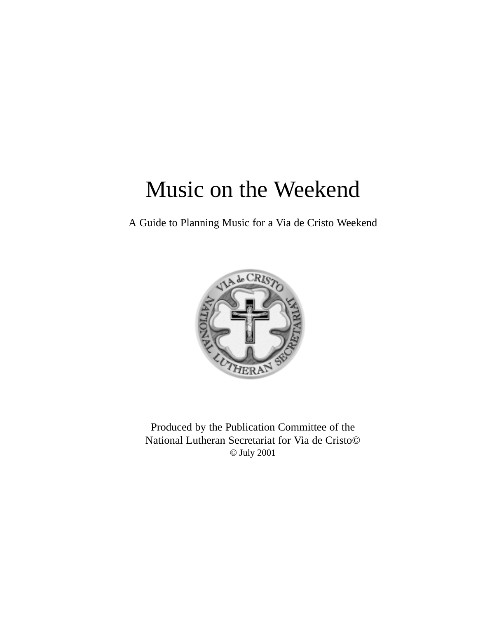# Music on the Weekend

A Guide to Planning Music for a Via de Cristo Weekend



Produced by the Publication Committee of the National Lutheran Secretariat for Via de Cristo© © July 2001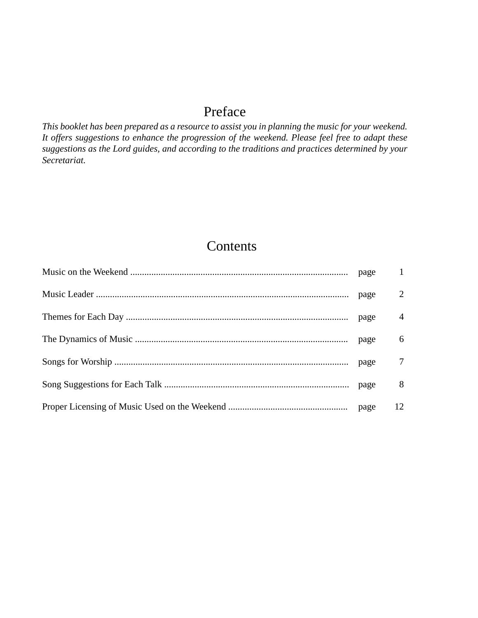## Preface

*This booklet has been prepared as a resource to assist you in planning the music for your weekend. It offers suggestions to enhance the progression of the weekend. Please feel free to adapt these suggestions as the Lord guides, and according to the traditions and practices determined by your Secretariat.*

## **Contents**

|  | $\mathbf{1}$   |
|--|----------------|
|  | 2              |
|  | $\overline{4}$ |
|  | 6              |
|  | 7              |
|  | 8              |
|  | 12             |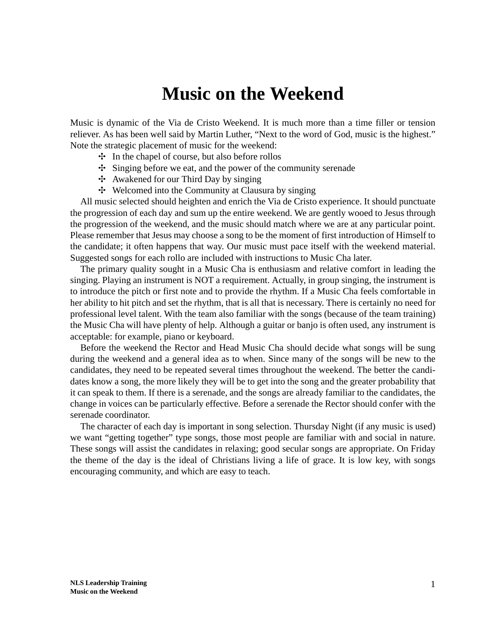## **Music on the Weekend**

Music is dynamic of the Via de Cristo Weekend. It is much more than a time filler or tension reliever. As has been well said by Martin Luther, "Next to the word of God, music is the highest." Note the strategic placement of music for the weekend:

- $\div$  In the chapel of course, but also before rollos
- ✣ Singing before we eat, and the power of the community serenade
- ✣ Awakened for our Third Day by singing
- ✣ Welcomed into the Community at Clausura by singing

All music selected should heighten and enrich the Via de Cristo experience. It should punctuate the progression of each day and sum up the entire weekend. We are gently wooed to Jesus through the progression of the weekend, and the music should match where we are at any particular point. Please remember that Jesus may choose a song to be the moment of first introduction of Himself to the candidate; it often happens that way. Our music must pace itself with the weekend material. Suggested songs for each rollo are included with instructions to Music Cha later.

The primary quality sought in a Music Cha is enthusiasm and relative comfort in leading the singing. Playing an instrument is NOT a requirement. Actually, in group singing, the instrument is to introduce the pitch or first note and to provide the rhythm. If a Music Cha feels comfortable in her ability to hit pitch and set the rhythm, that is all that is necessary. There is certainly no need for professional level talent. With the team also familiar with the songs (because of the team training) the Music Cha will have plenty of help. Although a guitar or banjo is often used, any instrument is acceptable: for example, piano or keyboard.

Before the weekend the Rector and Head Music Cha should decide what songs will be sung during the weekend and a general idea as to when. Since many of the songs will be new to the candidates, they need to be repeated several times throughout the weekend. The better the candidates know a song, the more likely they will be to get into the song and the greater probability that it can speak to them. If there is a serenade, and the songs are already familiar to the candidates, the change in voices can be particularly effective. Before a serenade the Rector should confer with the serenade coordinator.

The character of each day is important in song selection. Thursday Night (if any music is used) we want "getting together" type songs, those most people are familiar with and social in nature. These songs will assist the candidates in relaxing; good secular songs are appropriate. On Friday the theme of the day is the ideal of Christians living a life of grace. It is low key, with songs encouraging community, and which are easy to teach.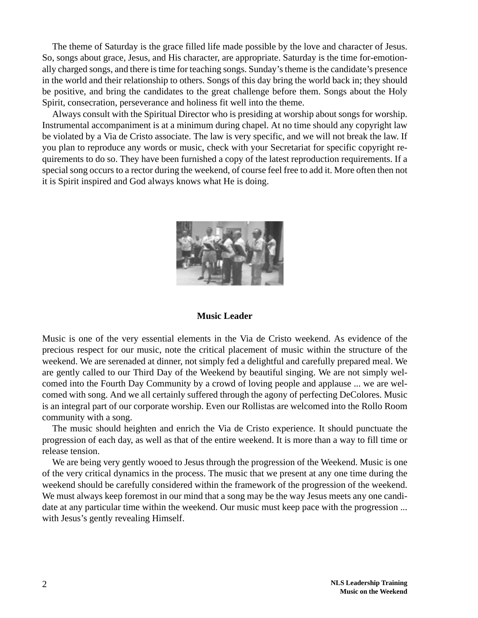The theme of Saturday is the grace filled life made possible by the love and character of Jesus. So, songs about grace, Jesus, and His character, are appropriate. Saturday is the time for-emotionally charged songs, and there is time for teaching songs. Sunday's theme is the candidate's presence in the world and their relationship to others. Songs of this day bring the world back in; they should be positive, and bring the candidates to the great challenge before them. Songs about the Holy Spirit, consecration, perseverance and holiness fit well into the theme.

Always consult with the Spiritual Director who is presiding at worship about songs for worship. Instrumental accompaniment is at a minimum during chapel. At no time should any copyright law be violated by a Via de Cristo associate. The law is very specific, and we will not break the law. If you plan to reproduce any words or music, check with your Secretariat for specific copyright requirements to do so. They have been furnished a copy of the latest reproduction requirements. If a special song occurs to a rector during the weekend, of course feel free to add it. More often then not it is Spirit inspired and God always knows what He is doing.



#### **Music Leader**

Music is one of the very essential elements in the Via de Cristo weekend. As evidence of the precious respect for our music, note the critical placement of music within the structure of the weekend. We are serenaded at dinner, not simply fed a delightful and carefully prepared meal. We are gently called to our Third Day of the Weekend by beautiful singing. We are not simply welcomed into the Fourth Day Community by a crowd of loving people and applause ... we are welcomed with song. And we all certainly suffered through the agony of perfecting DeColores. Music is an integral part of our corporate worship. Even our Rollistas are welcomed into the Rollo Room community with a song.

The music should heighten and enrich the Via de Cristo experience. It should punctuate the progression of each day, as well as that of the entire weekend. It is more than a way to fill time or release tension.

We are being very gently wooed to Jesus through the progression of the Weekend. Music is one of the very critical dynamics in the process. The music that we present at any one time during the weekend should be carefully considered within the framework of the progression of the weekend. We must always keep foremost in our mind that a song may be the way Jesus meets any one candidate at any particular time within the weekend. Our music must keep pace with the progression ... with Jesus's gently revealing Himself.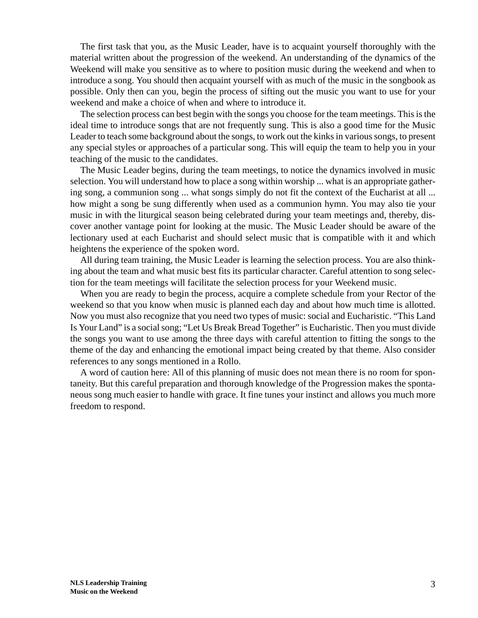The first task that you, as the Music Leader, have is to acquaint yourself thoroughly with the material written about the progression of the weekend. An understanding of the dynamics of the Weekend will make you sensitive as to where to position music during the weekend and when to introduce a song. You should then acquaint yourself with as much of the music in the songbook as possible. Only then can you, begin the process of sifting out the music you want to use for your weekend and make a choice of when and where to introduce it.

The selection process can best begin with the songs you choose for the team meetings. This is the ideal time to introduce songs that are not frequently sung. This is also a good time for the Music Leader to teach some background about the songs, to work out the kinks in various songs, to present any special styles or approaches of a particular song. This will equip the team to help you in your teaching of the music to the candidates.

The Music Leader begins, during the team meetings, to notice the dynamics involved in music selection. You will understand how to place a song within worship ... what is an appropriate gathering song, a communion song ... what songs simply do not fit the context of the Eucharist at all ... how might a song be sung differently when used as a communion hymn. You may also tie your music in with the liturgical season being celebrated during your team meetings and, thereby, discover another vantage point for looking at the music. The Music Leader should be aware of the lectionary used at each Eucharist and should select music that is compatible with it and which heightens the experience of the spoken word.

All during team training, the Music Leader is learning the selection process. You are also thinking about the team and what music best fits its particular character. Careful attention to song selection for the team meetings will facilitate the selection process for your Weekend music.

When you are ready to begin the process, acquire a complete schedule from your Rector of the weekend so that you know when music is planned each day and about how much time is allotted. Now you must also recognize that you need two types of music: social and Eucharistic. "This Land Is Your Land" is a social song; "Let Us Break Bread Together" is Eucharistic. Then you must divide the songs you want to use among the three days with careful attention to fitting the songs to the theme of the day and enhancing the emotional impact being created by that theme. Also consider references to any songs mentioned in a Rollo.

A word of caution here: All of this planning of music does not mean there is no room for spontaneity. But this careful preparation and thorough knowledge of the Progression makes the spontaneous song much easier to handle with grace. It fine tunes your instinct and allows you much more freedom to respond.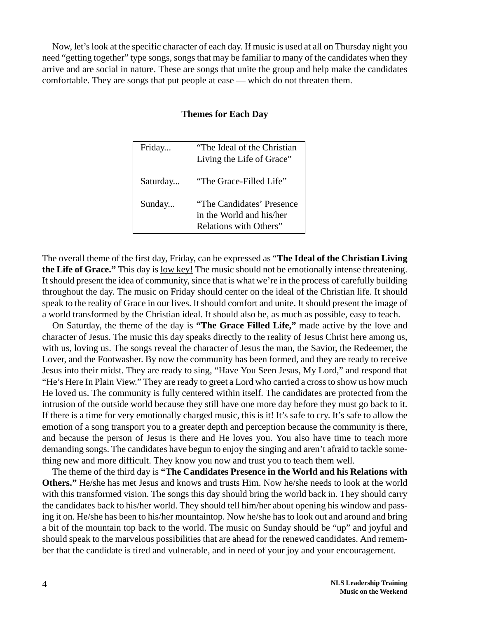Now, let's look at the specific character of each day. If music is used at all on Thursday night you need "getting together" type songs, songs that may be familiar to many of the candidates when they arrive and are social in nature. These are songs that unite the group and help make the candidates comfortable. They are songs that put people at ease — which do not threaten them.

| Friday   | "The Ideal of the Christian"<br>Living the Life of Grace"                       |
|----------|---------------------------------------------------------------------------------|
| Saturday | "The Grace-Filled Life"                                                         |
| Sunday   | "The Candidates' Presence<br>in the World and his/her<br>Relations with Others" |

#### **Themes for Each Day**

The overall theme of the first day, Friday, can be expressed as "**The Ideal of the Christian Living the Life of Grace."** This day is low key! The music should not be emotionally intense threatening. It should present the idea of community, since that is what we're in the process of carefully building throughout the day. The music on Friday should center on the ideal of the Christian life. It should speak to the reality of Grace in our lives. It should comfort and unite. It should present the image of a world transformed by the Christian ideal. It should also be, as much as possible, easy to teach.

On Saturday, the theme of the day is **"The Grace Filled Life,"** made active by the love and character of Jesus. The music this day speaks directly to the reality of Jesus Christ here among us, with us, loving us. The songs reveal the character of Jesus the man, the Savior, the Redeemer, the Lover, and the Footwasher. By now the community has been formed, and they are ready to receive Jesus into their midst. They are ready to sing, "Have You Seen Jesus, My Lord," and respond that "He's Here In Plain View." They are ready to greet a Lord who carried a cross to show us how much He loved us. The community is fully centered within itself. The candidates are protected from the intrusion of the outside world because they still have one more day before they must go back to it. If there is a time for very emotionally charged music, this is it! It's safe to cry. It's safe to allow the emotion of a song transport you to a greater depth and perception because the community is there, and because the person of Jesus is there and He loves you. You also have time to teach more demanding songs. The candidates have begun to enjoy the singing and aren't afraid to tackle something new and more difficult. They know you now and trust you to teach them well.

The theme of the third day is **"The Candidates Presence in the World and his Relations with Others."** He/she has met Jesus and knows and trusts Him. Now he/she needs to look at the world with this transformed vision. The songs this day should bring the world back in. They should carry the candidates back to his/her world. They should tell him/her about opening his window and passing it on. He/she has been to his/her mountaintop. Now he/she has to look out and around and bring a bit of the mountain top back to the world. The music on Sunday should be "up" and joyful and should speak to the marvelous possibilities that are ahead for the renewed candidates. And remember that the candidate is tired and vulnerable, and in need of your joy and your encouragement.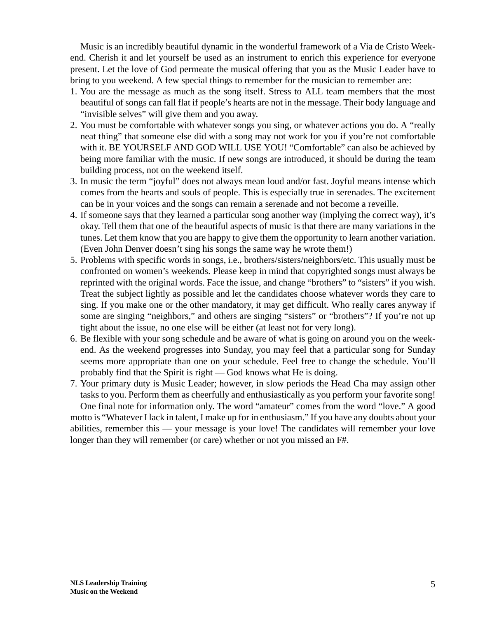Music is an incredibly beautiful dynamic in the wonderful framework of a Via de Cristo Weekend. Cherish it and let yourself be used as an instrument to enrich this experience for everyone present. Let the love of God permeate the musical offering that you as the Music Leader have to bring to you weekend. A few special things to remember for the musician to remember are:

- 1. You are the message as much as the song itself. Stress to ALL team members that the most beautiful of songs can fall flat if people's hearts are not in the message. Their body language and "invisible selves" will give them and you away.
- 2. You must be comfortable with whatever songs you sing, or whatever actions you do. A "really neat thing" that someone else did with a song may not work for you if you're not comfortable with it. BE YOURSELF AND GOD WILL USE YOU! "Comfortable" can also be achieved by being more familiar with the music. If new songs are introduced, it should be during the team building process, not on the weekend itself.
- 3. In music the term "joyful" does not always mean loud and/or fast. Joyful means intense which comes from the hearts and souls of people. This is especially true in serenades. The excitement can be in your voices and the songs can remain a serenade and not become a reveille.
- 4. If someone says that they learned a particular song another way (implying the correct way), it's okay. Tell them that one of the beautiful aspects of music is that there are many variations in the tunes. Let them know that you are happy to give them the opportunity to learn another variation. (Even John Denver doesn't sing his songs the same way he wrote them!)
- 5. Problems with specific words in songs, i.e., brothers/sisters/neighbors/etc. This usually must be confronted on women's weekends. Please keep in mind that copyrighted songs must always be reprinted with the original words. Face the issue, and change "brothers" to "sisters" if you wish. Treat the subject lightly as possible and let the candidates choose whatever words they care to sing. If you make one or the other mandatory, it may get difficult. Who really cares anyway if some are singing "neighbors," and others are singing "sisters" or "brothers"? If you're not up tight about the issue, no one else will be either (at least not for very long).
- 6. Be flexible with your song schedule and be aware of what is going on around you on the weekend. As the weekend progresses into Sunday, you may feel that a particular song for Sunday seems more appropriate than one on your schedule. Feel free to change the schedule. You'll probably find that the Spirit is right — God knows what He is doing.
- 7. Your primary duty is Music Leader; however, in slow periods the Head Cha may assign other tasks to you. Perform them as cheerfully and enthusiastically as you perform your favorite song! One final note for information only. The word "amateur" comes from the word "love." A good motto is "Whatever I lack in talent, I make up for in enthusiasm." If you have any doubts about your abilities, remember this — your message is your love! The candidates will remember your love longer than they will remember (or care) whether or not you missed an F#.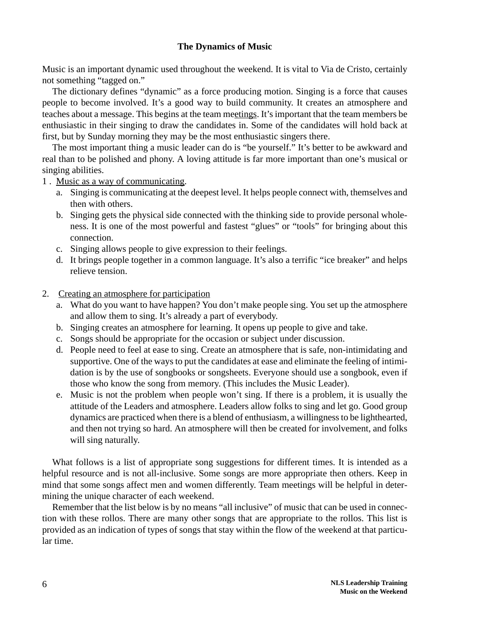## **The Dynamics of Music**

Music is an important dynamic used throughout the weekend. It is vital to Via de Cristo, certainly not something "tagged on."

The dictionary defines "dynamic" as a force producing motion. Singing is a force that causes people to become involved. It's a good way to build community. It creates an atmosphere and teaches about a message. This begins at the team meetings. It's important that the team members be enthusiastic in their singing to draw the candidates in. Some of the candidates will hold back at first, but by Sunday morning they may be the most enthusiastic singers there.

The most important thing a music leader can do is "be yourself." It's better to be awkward and real than to be polished and phony. A loving attitude is far more important than one's musical or singing abilities.

1 . Music as a way of communicating.

- a. Singing is communicating at the deepest level. It helps people connect with, themselves and then with others.
- b. Singing gets the physical side connected with the thinking side to provide personal wholeness. It is one of the most powerful and fastest "glues" or "tools" for bringing about this connection.
- c. Singing allows people to give expression to their feelings.
- d. It brings people together in a common language. It's also a terrific "ice breaker" and helps relieve tension.
- 2. Creating an atmosphere for participation
	- a. What do you want to have happen? You don't make people sing. You set up the atmosphere and allow them to sing. It's already a part of everybody.
	- b. Singing creates an atmosphere for learning. It opens up people to give and take.
	- c. Songs should be appropriate for the occasion or subject under discussion.
	- d. People need to feel at ease to sing. Create an atmosphere that is safe, non-intimidating and supportive. One of the ways to put the candidates at ease and eliminate the feeling of intimidation is by the use of songbooks or songsheets. Everyone should use a songbook, even if those who know the song from memory. (This includes the Music Leader).
	- e. Music is not the problem when people won't sing. If there is a problem, it is usually the attitude of the Leaders and atmosphere. Leaders allow folks to sing and let go. Good group dynamics are practiced when there is a blend of enthusiasm, a willingness to be lighthearted, and then not trying so hard. An atmosphere will then be created for involvement, and folks will sing naturally.

What follows is a list of appropriate song suggestions for different times. It is intended as a helpful resource and is not all-inclusive. Some songs are more appropriate then others. Keep in mind that some songs affect men and women differently. Team meetings will be helpful in determining the unique character of each weekend.

Remember that the list below is by no means "all inclusive" of music that can be used in connection with these rollos. There are many other songs that are appropriate to the rollos. This list is provided as an indication of types of songs that stay within the flow of the weekend at that particular time.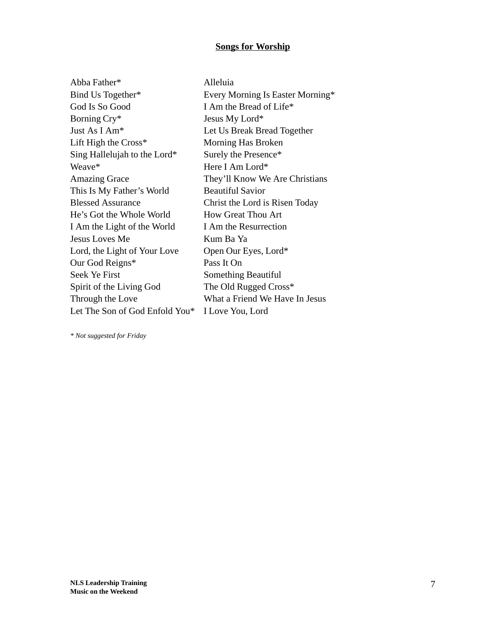## **Songs for Worship**

| Abba Father*                   | Alleluia                         |
|--------------------------------|----------------------------------|
| Bind Us Together*              | Every Morning Is Easter Morning* |
| God Is So Good                 | I Am the Bread of Life*          |
| Borning Cry*                   | Jesus My Lord*                   |
| Just As I Am <sup>*</sup>      | Let Us Break Bread Together      |
| Lift High the $Cross*$         | Morning Has Broken               |
| Sing Hallelujah to the Lord*   | Surely the Presence*             |
| Weave*                         | Here I Am Lord*                  |
| <b>Amazing Grace</b>           | They'll Know We Are Christians   |
| This Is My Father's World      | <b>Beautiful Savior</b>          |
| <b>Blessed Assurance</b>       | Christ the Lord is Risen Today   |
| He's Got the Whole World       | <b>How Great Thou Art</b>        |
| I Am the Light of the World    | I Am the Resurrection            |
| Jesus Loves Me                 | Kum Ba Ya                        |
| Lord, the Light of Your Love   | Open Our Eyes, Lord*             |
| Our God Reigns*                | Pass It On                       |
| <b>Seek Ye First</b>           | Something Beautiful              |
| Spirit of the Living God       | The Old Rugged Cross*            |
| Through the Love               | What a Friend We Have In Jesus   |
| Let The Son of God Enfold You* | I Love You, Lord                 |
|                                |                                  |

*\* Not suggested for Friday*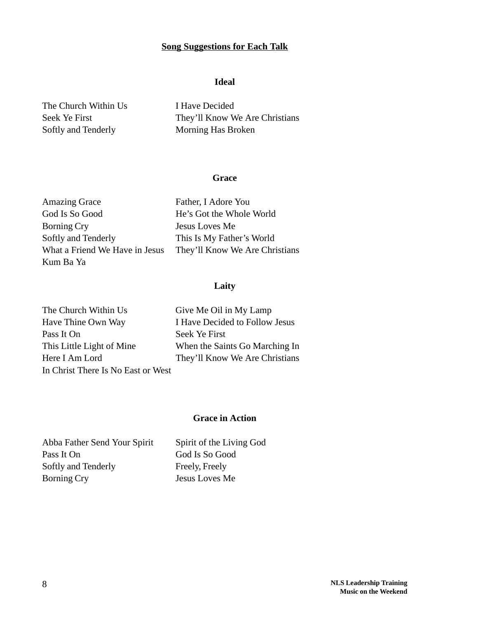## **Song Suggestions for Each Talk**

### **Ideal**

The Church Within Us I Have Decided Softly and Tenderly Morning Has Broken

Seek Ye First They'll Know We Are Christians

### **Grace**

| <b>Amazing Grace</b>           | Father, I Adore You            |
|--------------------------------|--------------------------------|
| God Is So Good                 | He's Got the Whole World       |
| Borning Cry                    | Jesus Loves Me                 |
| Softly and Tenderly            | This Is My Father's World      |
| What a Friend We Have in Jesus | They'll Know We Are Christians |
| Kum Ba Ya                      |                                |

## **Laity**

| The Church Within Us               | Give Me Oil in My Lamp         |
|------------------------------------|--------------------------------|
| Have Thine Own Way                 | I Have Decided to Follow Jesus |
| Pass It On                         | Seek Ye First                  |
| This Little Light of Mine          | When the Saints Go Marching In |
| Here I Am Lord                     | They'll Know We Are Christians |
| In Christ There Is No East or West |                                |

## **Grace in Action**

Abba Father Send Your Spirit Spirit of the Living God Pass It On God Is So Good Softly and Tenderly Freely, Freely Borning Cry Jesus Loves Me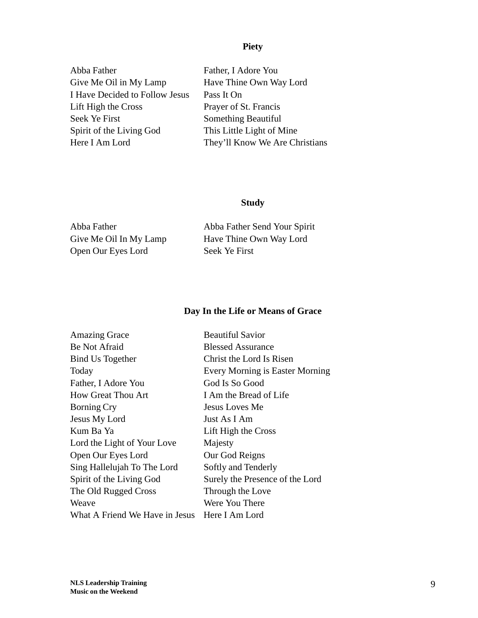## **Piety**

| Abba Father                    |
|--------------------------------|
| Give Me Oil in My Lamp         |
| I Have Decided to Follow Jesus |
| Lift High the Cross            |
| Seek Ye First                  |
| Spirit of the Living God       |
| Here I Am Lord                 |

Father, I Adore You Have Thine Own Way Lord Pass It On Prayer of St. Francis Something Beautiful This Little Light of Mine They'll Know We Are Christians

## **Study**

| Abba Father            | Abba Father Send Your Spirit |
|------------------------|------------------------------|
| Give Me Oil In My Lamp | Have Thine Own Way Lord      |
| Open Our Eyes Lord     | Seek Ye First                |

## **Day In the Life or Means of Grace**

| <b>Amazing Grace</b>                          | <b>Beautiful Savior</b>         |
|-----------------------------------------------|---------------------------------|
| Be Not Afraid                                 | <b>Blessed Assurance</b>        |
| <b>Bind Us Together</b>                       | Christ the Lord Is Risen        |
| Today                                         | Every Morning is Easter Morning |
| Father, I Adore You                           | God Is So Good                  |
| How Great Thou Art                            | I Am the Bread of Life          |
| <b>Borning Cry</b>                            | <b>Jesus Loves Me</b>           |
| Jesus My Lord                                 | Just As I Am                    |
| Kum Ba Ya                                     | Lift High the Cross             |
| Lord the Light of Your Love                   | Majesty                         |
| Open Our Eyes Lord                            | Our God Reigns                  |
| Sing Hallelujah To The Lord                   | Softly and Tenderly             |
| Spirit of the Living God                      | Surely the Presence of the Lord |
| The Old Rugged Cross                          | Through the Love                |
| Weave                                         | Were You There                  |
| What A Friend We Have in Jesus Here I Am Lord |                                 |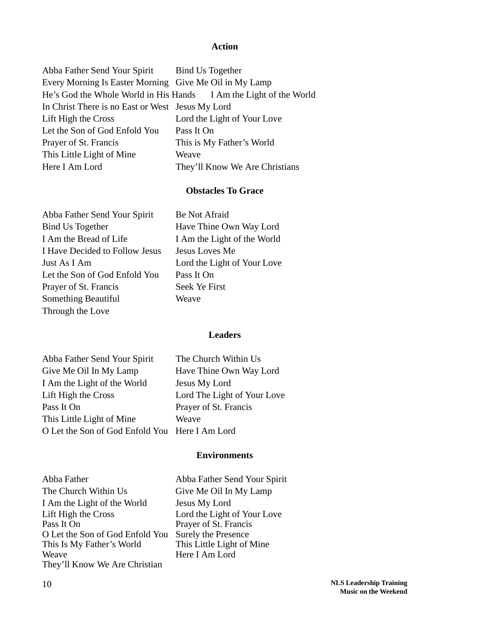### **Action**

| Abba Father Send Your Spirit                           | Bind Us Together                                                  |
|--------------------------------------------------------|-------------------------------------------------------------------|
| Every Morning Is Easter Morning Give Me Oil in My Lamp |                                                                   |
|                                                        | He's God the Whole World in His Hands I Am the Light of the World |
| In Christ There is no East or West Jesus My Lord       |                                                                   |
| Lift High the Cross                                    | Lord the Light of Your Love                                       |
| Let the Son of God Enfold You                          | Pass It On                                                        |
| Prayer of St. Francis                                  | This is My Father's World                                         |
| This Little Light of Mine                              | Weave                                                             |
| Here I Am Lord                                         | They'll Know We Are Christians                                    |
|                                                        |                                                                   |

## **Obstacles To Grace**

Afraid

| Abba Father Send Your Spirit   | Be Not Afraid               |
|--------------------------------|-----------------------------|
| <b>Bind Us Together</b>        | Have Thine Own Way Lord     |
| I Am the Bread of Life         | I Am the Light of the World |
| I Have Decided to Follow Jesus | Jesus Loves Me              |
| Just As I Am                   | Lord the Light of Your Love |
| Let the Son of God Enfold You  | Pass It On                  |
| Prayer of St. Francis          | Seek Ye First               |
| Something Beautiful            | Weave                       |
| Through the Love               |                             |

## he Light of the World oves Me ne Light of Your Love e First

### **Leaders**

| Abba Father Send Your Spirit                   | The Church Within Us        |
|------------------------------------------------|-----------------------------|
| Give Me Oil In My Lamp                         | Have Thine Own Way Lord     |
| I Am the Light of the World                    | Jesus My Lord               |
| Lift High the Cross                            | Lord The Light of Your Love |
| Pass It On                                     | Prayer of St. Francis       |
| This Little Light of Mine                      | Weave                       |
| O Let the Son of God Enfold You Here I Am Lord |                             |

### **Environments**

| Abba Father                     |
|---------------------------------|
| The Church Within Us            |
| I Am the Light of the World     |
| Lift High the Cross             |
| Pass It On                      |
| O Let the Son of God Enfold You |
| This Is My Father's World       |
| Weave                           |
| They'll Know We Are Christian   |

Abba Father Send Your Spirit Give Me Oil In My Lamp Jesus My Lord Lord the Light of Your Love Prayer of St. Francis Surely the Presence This Little Light of Mine Here I Am Lord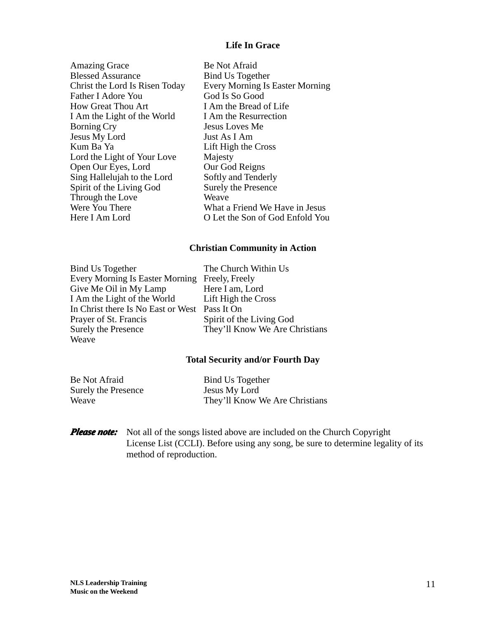## **Life In Grace**

| Be Not Afraid                          |
|----------------------------------------|
| <b>Bind Us Together</b>                |
| <b>Every Morning Is Easter Morning</b> |
| God Is So Good                         |
| I Am the Bread of Life                 |
| I Am the Resurrection                  |
| <b>Jesus Loves Me</b>                  |
| Just As I Am                           |
| Lift High the Cross                    |
| Majesty                                |
| Our God Reigns                         |
| Softly and Tenderly                    |
| <b>Surely the Presence</b>             |
| Weave                                  |
| What a Friend We Have in Jesus         |
| O Let the Son of God Enfold You        |
|                                        |

#### **Christian Community in Action**

Bind Us Together The Church Within Us Every Morning Is Easter Morning Freely, Freely<br>Give Me Oil in My Lamp Here I am, Lord Give Me Oil in My Lamp Here I am, Lord<br>
I Am the Light of the World Lift High the Cross I Am the Light of the World In Christ there Is No East or West Pass It On Prayer of St. Francis Spirit of the Living God<br>Surely the Presence They'll Know We Are C. **Weave** 

They'll Know We Are Christians

#### **Total Security and/or Fourth Day**

| Be Not Afraid |                            |
|---------------|----------------------------|
|               | <b>Surely the Presence</b> |
| Weave         |                            |

Bind Us Together e Jesus My Lord They'll Know We Are Christians

*Please note:* Not all of the songs listed above are included on the Church Copyright License List (CCLI). Before using any song, be sure to determine legality of its method of reproduction.